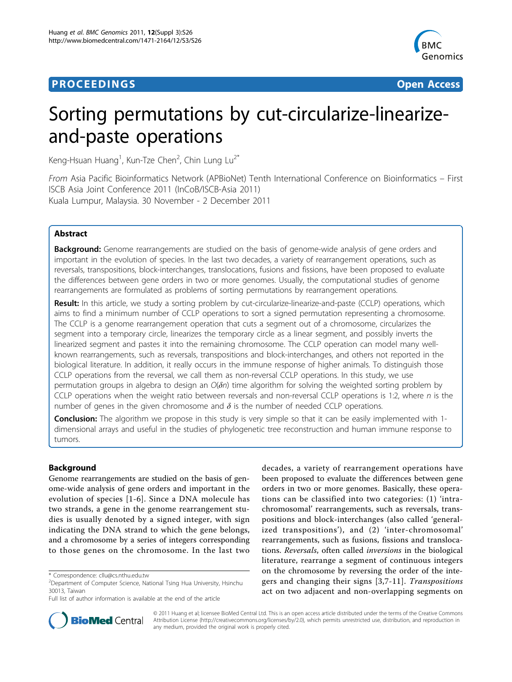# **PROCEEDINGS CONSUMING S** Open Access **CONSUMING S**



# Sorting permutations by cut-circularize-linearizeand-paste operations

Keng-Hsuan Huang<sup>1</sup>, Kun-Tze Chen<sup>2</sup>, Chin Lung Lu<sup>2\*</sup>

From Asia Pacific Bioinformatics Network (APBioNet) Tenth International Conference on Bioinformatics – First ISCB Asia Joint Conference 2011 (InCoB/ISCB-Asia 2011) Kuala Lumpur, Malaysia. 30 November - 2 December 2011

# Abstract

**Background:** Genome rearrangements are studied on the basis of genome-wide analysis of gene orders and important in the evolution of species. In the last two decades, a variety of rearrangement operations, such as reversals, transpositions, block-interchanges, translocations, fusions and fissions, have been proposed to evaluate the differences between gene orders in two or more genomes. Usually, the computational studies of genome rearrangements are formulated as problems of sorting permutations by rearrangement operations.

Result: In this article, we study a sorting problem by cut-circularize-linearize-and-paste (CCLP) operations, which aims to find a minimum number of CCLP operations to sort a signed permutation representing a chromosome. The CCLP is a genome rearrangement operation that cuts a segment out of a chromosome, circularizes the segment into a temporary circle, linearizes the temporary circle as a linear segment, and possibly inverts the linearized segment and pastes it into the remaining chromosome. The CCLP operation can model many wellknown rearrangements, such as reversals, transpositions and block-interchanges, and others not reported in the biological literature. In addition, it really occurs in the immune response of higher animals. To distinguish those CCLP operations from the reversal, we call them as non-reversal CCLP operations. In this study, we use permutation groups in algebra to design an  $O(\delta n)$  time algorithm for solving the weighted sorting problem by CCLP operations when the weight ratio between reversals and non-reversal CCLP operations is 1:2, where  $n$  is the number of genes in the given chromosome and  $\delta$  is the number of needed CCLP operations.

**Conclusion:** The algorithm we propose in this study is very simple so that it can be easily implemented with 1dimensional arrays and useful in the studies of phylogenetic tree reconstruction and human immune response to tumors.

# Background

Genome rearrangements are studied on the basis of genome-wide analysis of gene orders and important in the evolution of species [[1](#page-6-0)-[6](#page-6-0)]. Since a DNA molecule has two strands, a gene in the genome rearrangement studies is usually denoted by a signed integer, with sign indicating the DNA strand to which the gene belongs, and a chromosome by a series of integers corresponding to those genes on the chromosome. In the last two

decades, a variety of rearrangement operations have been proposed to evaluate the differences between gene orders in two or more genomes. Basically, these operations can be classified into two categories: (1) 'intrachromosomal' rearrangements, such as reversals, transpositions and block-interchanges (also called 'generalized transpositions'), and (2) 'inter-chromosomal' rearrangements, such as fusions, fissions and translocations. Reversals, often called inversions in the biological literature, rearrange a segment of continuous integers on the chromosome by reversing the order of the integers and changing their signs [[3](#page-6-0),[7-11\]](#page-6-0). Transpositions act on two adjacent and non-overlapping segments on



© 2011 Huang et al; licensee BioMed Central Ltd. This is an open access article distributed under the terms of the Creative Commons Attribution License [\(http://creativecommons.org/licenses/by/2.0](http://creativecommons.org/licenses/by/2.0)), which permits unrestricted use, distribution, and reproduction in any medium, provided the original work is properly cited.

<sup>\*</sup> Correspondence: [cllu@cs.nthu.edu.tw](mailto:cllu@cs.nthu.edu.tw)

<sup>&</sup>lt;sup>2</sup> Department of Computer Science, National Tsing Hua University, Hsinchu 30013, Taiwan

Full list of author information is available at the end of the article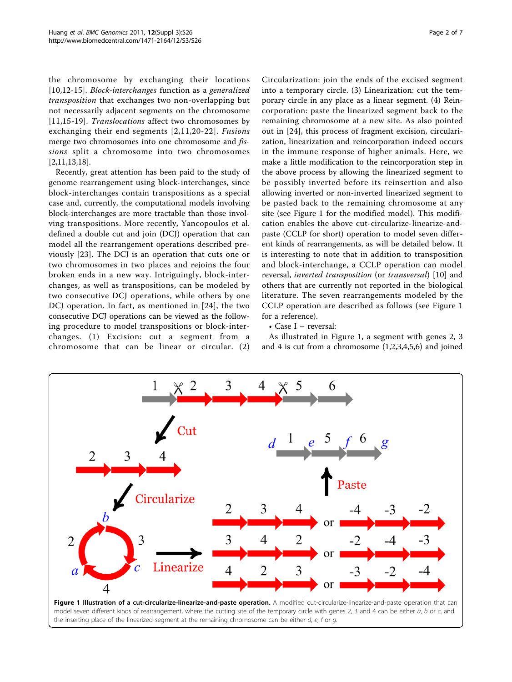<span id="page-1-0"></span>the chromosome by exchanging their locations [[10,12](#page-6-0)-[15\]](#page-6-0). Block-interchanges function as a generalized transposition that exchanges two non-overlapping but not necessarily adjacent segments on the chromosome [[11](#page-6-0),[15-19\]](#page-6-0). Translocations affect two chromosomes by exchanging their end segments [[2,11,20-22](#page-6-0)]. Fusions merge two chromosomes into one chromosome and *fis*sions split a chromosome into two chromosomes [[2,11,13](#page-6-0),[18](#page-6-0)].

Recently, great attention has been paid to the study of genome rearrangement using block-interchanges, since block-interchanges contain transpositions as a special case and, currently, the computational models involving block-interchanges are more tractable than those involving transpositions. More recently, Yancopoulos et al. defined a double cut and join (DCJ) operation that can model all the rearrangement operations described previously [[23](#page-6-0)]. The DCJ is an operation that cuts one or two chromosomes in two places and rejoins the four broken ends in a new way. Intriguingly, block-interchanges, as well as transpositions, can be modeled by two consecutive DCJ operations, while others by one DCJ operation. In fact, as mentioned in [[24](#page-6-0)], the two consecutive DCJ operations can be viewed as the following procedure to model transpositions or block-interchanges. (1) Excision: cut a segment from a chromosome that can be linear or circular. (2)

Circularization: join the ends of the excised segment into a temporary circle. (3) Linearization: cut the temporary circle in any place as a linear segment. (4) Reincorporation: paste the linearized segment back to the remaining chromosome at a new site. As also pointed out in [[24\]](#page-6-0), this process of fragment excision, circularization, linearization and reincorporation indeed occurs in the immune response of higher animals. Here, we make a little modification to the reincorporation step in the above process by allowing the linearized segment to be possibly inverted before its reinsertion and also allowing inverted or non-inverted linearized segment to be pasted back to the remaining chromosome at any site (see Figure 1 for the modified model). This modification enables the above cut-circularize-linearize-andpaste (CCLP for short) operation to model seven different kinds of rearrangements, as will be detailed below. It is interesting to note that in addition to transposition and block-interchange, a CCLP operation can model reversal, inverted transposition (or transversal) [[10\]](#page-6-0) and others that are currently not reported in the biological literature. The seven rearrangements modeled by the CCLP operation are described as follows (see Figure 1 for a reference).

## • Case I – reversal:

As illustrated in Figure 1, a segment with genes 2, 3 and 4 is cut from a chromosome (1,2,3,4,5,6) and joined



model seven different kinds of rearrangement, where the cutting site of the temporary circle with genes 2, 3 and 4 can be either a, b or c, and the inserting place of the linearized segment at the remaining chromosome can be either  $d$ ,  $e$ ,  $f$  or  $g$ .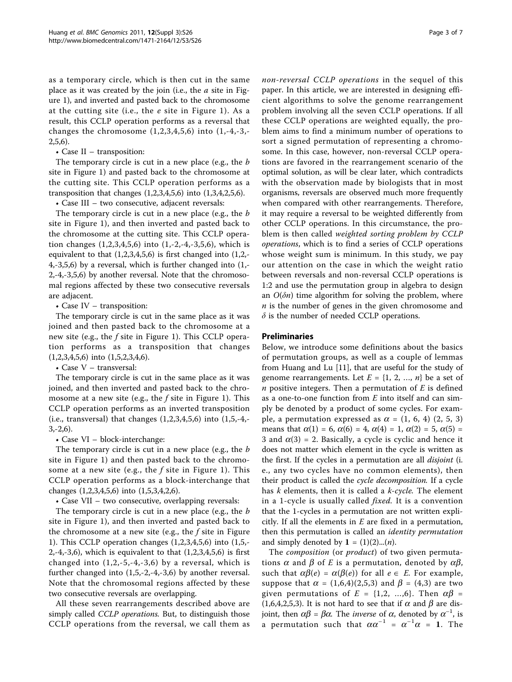as a temporary circle, which is then cut in the same place as it was created by the join (i.e., the  $a$  site in Figure [1](#page-1-0)), and inverted and pasted back to the chromosome at the cutting site (i.e., the  $e$  site in Figure [1\)](#page-1-0). As a result, this CCLP operation performs as a reversal that changes the chromosome  $(1,2,3,4,5,6)$  into  $(1,-4,-3,-$ 2,5,6).

## • Case II – transposition:

The temporary circle is cut in a new place (e.g., the *b* site in Figure [1](#page-1-0)) and pasted back to the chromosome at the cutting site. This CCLP operation performs as a transposition that changes (1,2,3,4,5,6) into (1,3,4,2,5,6).

• Case III – two consecutive, adjacent reversals:

The temporary circle is cut in a new place (e.g., the b site in Figure [1\)](#page-1-0), and then inverted and pasted back to the chromosome at the cutting site. This CCLP operation changes (1,2,3,4,5,6) into (1,-2,-4,-3,5,6), which is equivalent to that (1,2,3,4,5,6) is first changed into (1,2,-  $4, -3, 5, 6$ ) by a reversal, which is further changed into  $(1, -1)$ 2,-4,-3,5,6) by another reversal. Note that the chromosomal regions affected by these two consecutive reversals are adjacent.

• Case IV – transposition:

The temporary circle is cut in the same place as it was joined and then pasted back to the chromosome at a new site (e.g., the  $f$  site in Figure [1\)](#page-1-0). This CCLP operation performs as a transposition that changes (1,2,3,4,5,6) into (1,5,2,3,4,6).

• Case V – transversal:

The temporary circle is cut in the same place as it was joined, and then inverted and pasted back to the chromosome at a new site (e.g., the  $f$  site in Figure [1](#page-1-0)). This CCLP operation performs as an inverted transposition (i.e., transversal) that changes (1,2,3,4,5,6) into (1,5,-4,- 3,-2,6).

• Case VI – block-interchange:

The temporary circle is cut in a new place (e.g., the *b* site in Figure [1](#page-1-0)) and then pasted back to the chromosome at a new site (e.g., the  $f$  site in Figure [1\)](#page-1-0). This CCLP operation performs as a block-interchange that changes (1,2,3,4,5,6) into (1,5,3,4,2,6).

• Case VII – two consecutive, overlapping reversals:

The temporary circle is cut in a new place (e.g., the *b* site in Figure [1\)](#page-1-0), and then inverted and pasted back to the chromosome at a new site (e.g., the  $f$  site in Figure [1\)](#page-1-0). This CCLP operation changes (1,2,3,4,5,6) into (1,5,- 2,-4,-3,6), which is equivalent to that (1,2,3,4,5,6) is first changed into  $(1,2,-5,-4,-3,6)$  by a reversal, which is further changed into (1,5,-2,-4,-3,6) by another reversal. Note that the chromosomal regions affected by these two consecutive reversals are overlapping.

All these seven rearrangements described above are simply called CCLP operations. But, to distinguish those CCLP operations from the reversal, we call them as non-reversal CCLP operations in the sequel of this paper. In this article, we are interested in designing efficient algorithms to solve the genome rearrangement problem involving all the seven CCLP operations. If all these CCLP operations are weighted equally, the problem aims to find a minimum number of operations to sort a signed permutation of representing a chromosome. In this case, however, non-reversal CCLP operations are favored in the rearrangement scenario of the optimal solution, as will be clear later, which contradicts with the observation made by biologists that in most organisms, reversals are observed much more frequently when compared with other rearrangements. Therefore, it may require a reversal to be weighted differently from other CCLP operations. In this circumstance, the problem is then called weighted sorting problem by CCLP operations, which is to find a series of CCLP operations whose weight sum is minimum. In this study, we pay our attention on the case in which the weight ratio between reversals and non-reversal CCLP operations is 1:2 and use the permutation group in algebra to design an  $O(\delta n)$  time algorithm for solving the problem, where  $n$  is the number of genes in the given chromosome and  $\delta$  is the number of needed CCLP operations.

# Preliminaries

Below, we introduce some definitions about the basics of permutation groups, as well as a couple of lemmas from Huang and Lu [[11\]](#page-6-0), that are useful for the study of genome rearrangements. Let  $E = \{1, 2, ..., n\}$  be a set of *n* positive integers. Then a permutation of  $E$  is defined as a one-to-one function from  $E$  into itself and can simply be denoted by a product of some cycles. For example, a permutation expressed as  $\alpha = (1, 6, 4)$   $(2, 5, 3)$ means that  $\alpha(1) = 6$ ,  $\alpha(6) = 4$ ,  $\alpha(4) = 1$ ,  $\alpha(2) = 5$ ,  $\alpha(5) =$ 3 and  $\alpha(3)$  = 2. Basically, a cycle is cyclic and hence it does not matter which element in the cycle is written as the first. If the cycles in a permutation are all *disjoint* (i. e., any two cycles have no common elements), then their product is called the cycle decomposition. If a cycle has k elements, then it is called a k-cycle. The element in a 1-cycle is usually called fixed. It is a convention that the 1-cycles in a permutation are not written explicitly. If all the elements in  $E$  are fixed in a permutation, then this permutation is called an *identity permutation* and simply denoted by  $\mathbf{1} = (1)(2)...(n)$ .

The *composition* (or *product*) of two given permutations  $\alpha$  and  $\beta$  of E is a permutation, denoted by  $\alpha\beta$ , such that  $\alpha\beta(e) = \alpha(\beta(e))$  for all  $e \in E$ . For example, suppose that  $\alpha = (1,6,4)(2,5,3)$  and  $\beta = (4,3)$  are two given permutations of  $E = \{1,2, ..., 6\}$ . Then  $\alpha\beta$  = (1,6,4,2,5,3). It is not hard to see that if  $\alpha$  and  $\beta$  are disjoint, then  $\alpha\beta = \beta\alpha$ . The *inverse* of  $\alpha$ , denoted by  $\alpha^{-1}$ , is a permutation such that  $\alpha \alpha^{-1} = \alpha^{-1} \alpha = 1$ . The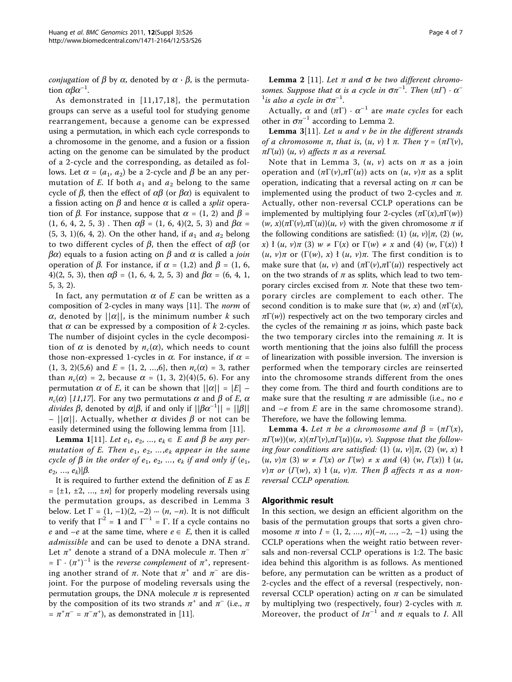*conjugation* of  $\beta$  by  $\alpha$ , denoted by  $\alpha \cdot \beta$ , is the permutation  $\alpha\beta\alpha^{-1}$ .

As demonstrated in [[11](#page-6-0),[17,18](#page-6-0)], the permutation groups can serve as a useful tool for studying genome rearrangement, because a genome can be expressed using a permutation, in which each cycle corresponds to a chromosome in the genome, and a fusion or a fission acting on the genome can be simulated by the product of a 2-cycle and the corresponding, as detailed as follows. Let  $\alpha = (a_1, a_2)$  be a 2-cycle and  $\beta$  be an any permutation of E. If both  $a_1$  and  $a_2$  belong to the same cycle of  $\beta$ , then the effect of  $\alpha\beta$  (or  $\beta\alpha$ ) is equivalent to a fission acting on  $\beta$  and hence  $\alpha$  is called a *split* operation of  $\beta$ . For instance, suppose that  $\alpha = (1, 2)$  and  $\beta =$  $(1, 6, 4, 2, 5, 3)$ . Then  $\alpha\beta = (1, 6, 4)(2, 5, 3)$  and  $\beta\alpha =$  $(5, 3, 1)$  $(6, 4, 2)$ . On the other hand, if  $a_1$  and  $a_2$  belong to two different cycles of  $\beta$ , then the effect of  $\alpha\beta$  (or  $\beta\alpha$ ) equals to a fusion acting on  $\beta$  and  $\alpha$  is called a *join* operation of  $\beta$ . For instance, if  $\alpha = (1,2)$  and  $\beta = (1, 6, 1)$ 4)(2, 5, 3), then  $\alpha\beta$  = (1, 6, 4, 2, 5, 3) and  $\beta\alpha$  = (6, 4, 1, 5, 3, 2).

In fact, any permutation  $\alpha$  of E can be written as a composition of 2-cycles in many ways [[11\]](#page-6-0). The norm of  $\alpha$ , denoted by  $||\alpha||$ , is the minimum number k such that  $\alpha$  can be expressed by a composition of k 2-cycles. The number of disjoint cycles in the cycle decomposition of  $\alpha$  is denoted by  $n_c(\alpha)$ , which needs to count those non-expressed 1-cycles in  $\alpha$ . For instance, if  $\alpha$  =  $(1, 3, 2)(5,6)$  and  $E = \{1, 2, ..., 6\}$ , then  $n_c(\alpha) = 3$ , rather than  $n_c(\alpha) = 2$ , because  $\alpha = (1, 3, 2)(4)(5, 6)$ . For any permutation  $\alpha$  of E, it can be shown that  $||\alpha|| = |E|$  –  $n_c(\alpha)$  [[11](#page-6-0),[17](#page-6-0)]. For any two permutations  $\alpha$  and  $\beta$  of E,  $\alpha$ divides  $\beta$ , denoted by  $\alpha|\beta$ , if and only if  $||\beta\alpha^{-1}|| = ||\beta||$ <br>-  $||\alpha||$ , Actually, whether  $\alpha$  divides  $\beta$  or not can be  $-||\alpha||$ . Actually, whether  $\alpha$  divides  $\beta$  or not can be easily determined using the following lemma from [\[11](#page-6-0)].

**Lemma 1**[11]. Let  $e_1, e_2, ..., e_k \in E$  and  $\beta$  be any permutation of E. Then  $e_1, e_2, ..., e_k$  appear in the same cycle of  $\beta$  in the order of  $e_1, e_2, ..., e_k$  if and only if  $(e_1, e_2, ..., e_k)$  $e_2, ..., e_k$  $|\beta$ .

It is required to further extend the definition of  $E$  as  $E$  $= {\pm 1, \pm 2, \ldots, \pm n}$  for properly modeling reversals using the permutation groups, as described in Lemma 3 below. Let  $\Gamma = (1, -1)(2, -2) \cdots (n, -n)$ . It is not difficult to verify that  $\Gamma^2 = 1$  and  $\Gamma^{-1} = \Gamma$ . If a cycle contains no e and  $-e$  at the same time, where  $e \in E$ , then it is called admissible and can be used to denote a DNA strand. Let  $\pi^+$  denote a strand of a DNA molecule  $\pi$ . Then  $\pi^-$ =  $\Gamma \cdot (\pi^+)^{-1}$  is the *reverse complement* of  $\pi^+$ , representing another strand of  $\pi$ . Note that  $\pi^+$  and  $\pi^-$  are disjoint. For the purpose of modeling reversals using the permutation groups, the DNA molecule  $\pi$  is represented by the composition of its two strands  $\pi^+$  and  $\pi^-$  (i.e.,  $\pi$  $=\pi^+\pi^- = \pi^-\pi^+$ , as demonstrated in [\[11\]](#page-6-0).

**Lemma 2** [[11](#page-6-0)]. Let π and σ be two different chromosomes. Suppose that  $\alpha$  is a cycle in  $\sigma \pi^{-1}$ . Then  $(\pi \Gamma) \cdot \alpha^{-1}$ <sup>1</sup> is also a cycle in  $\sigma \pi^{-1}$ .

Actually,  $\alpha$  and  $(\pi \Gamma) \cdot \alpha^{-1}$  are *mate cycles* for each other in  $\sigma \pi^{-1}$  according to Lemma 2.

**Lemma** 3[11]. Let u and v be in the different strands of a chromosome  $\pi$ , that is,  $(u, v)$   $\dagger \pi$ . Then  $\gamma = (\pi \Gamma(v))$ ,  $\pi\Gamma(u)$ ) (u, v) affects  $\pi$  as a reversal.

Note that in Lemma 3,  $(u, v)$  acts on  $\pi$  as a join operation and  $(\pi\Gamma(\nu), \pi\Gamma(\mu))$  acts on  $(u, v)\pi$  as a split operation, indicating that a reversal acting on  $\pi$  can be implemented using the product of two 2-cycles and  $\pi$ . Actually, other non-reversal CCLP operations can be implemented by multiplying four 2-cycles  $(\pi \Gamma(x), \pi \Gamma(w))$  $(w, x)(\pi \Gamma(v), \pi \Gamma(u))(u, v)$  with the given chromosome  $\pi$  if the following conditions are satisfied: (1)  $(u, v)|\pi$ , (2)  $(w,$ x) ł  $(u, v)\pi$  (3)  $w \neq \Gamma(x)$  or  $\Gamma(w) \neq x$  and (4)  $(w, \Gamma(x))$  ł  $(u, v)\pi$  or  $(\Gamma(w), x)$  ł  $(u, v)\pi$ . The first condition is to make sure that  $(u, v)$  and  $(\pi \Gamma(v), \pi \Gamma(u))$  respectively act on the two strands of  $\pi$  as splits, which lead to two temporary circles excised from  $π$ . Note that these two temporary circles are complement to each other. The second condition is to make sure that  $(w, x)$  and  $(\pi \Gamma(x))$ ,  $\pi\Gamma(w)$ ) respectively act on the two temporary circles and the cycles of the remaining  $\pi$  as joins, which paste back the two temporary circles into the remaining  $\pi$ . It is worth mentioning that the joins also fulfill the process of linearization with possible inversion. The inversion is performed when the temporary circles are reinserted into the chromosome strands different from the ones they come from. The third and fourth conditions are to make sure that the resulting  $\pi$  are admissible (i.e., no  $e$ and  $-e$  from E are in the same chromosome strand). Therefore, we have the following lemma.

**Lemma 4.** Let π be a chromosome and  $β = (πΓ(x))$ ,  $\pi(\pi(w))(w, x)(\pi(\pi(v), \pi(\pi(u))(u, v))$ . Suppose that the following four conditions are satisfied: (1)  $(u, v)|\pi$ , (2)  $(w, x)$  ł  $(u, v)\pi$  (3)  $w \neq \Gamma(x)$  or  $\Gamma(w) \neq x$  and (4)  $(w, \Gamma(x))$  ł  $(u,$ v)π or  $(\Gamma(w), x)$  ł  $(u, v)\pi$ . Then  $\beta$  affects π as a nonreversal CCLP operation.

#### Algorithmic result

In this section, we design an efficient algorithm on the basis of the permutation groups that sorts a given chromosome  $\pi$  into  $I = (1, 2, ..., n)(-n, ..., -2, -1)$  using the CCLP operations when the weight ratio between reversals and non-reversal CCLP operations is 1:2. The basic idea behind this algorithm is as follows. As mentioned before, any permutation can be written as a product of 2-cycles and the effect of a reversal (respectively, nonreversal CCLP operation) acting on  $\pi$  can be simulated by multiplying two (respectively, four) 2-cycles with  $\pi$ . Moreover, the product of  $I\pi^{-1}$  and  $\pi$  equals to *I*. All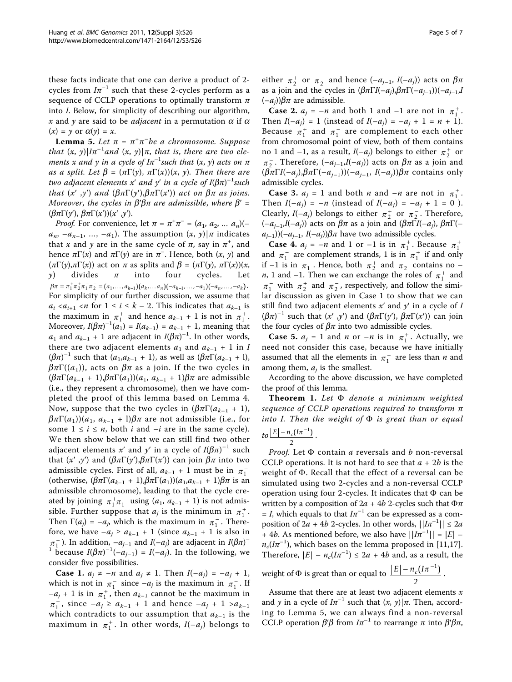these facts indicate that one can derive a product of 2 cycles from  $I\pi^{-1}$  such that these 2-cycles perform as a sequence of CCLP operations to optimally transform  $\pi$ into I. Below, for simplicity of describing our algorithm, x and y are said to be *adjacent* in a permutation  $\alpha$  if  $\alpha$  $(x) = y$  or  $\alpha(y) = x$ .

**Lemma 5.** Let  $\pi = \pi^+\pi^-$ be a chromosome. Suppose that  $(x, y)|I\pi^{-1}$ and  $(x, y)|\pi$ , that is, there are two elements x and y in a cycle of I $\pi^{-1}$ such that  $(x,\,y)$  acts on  $\pi$ as a split. Let  $\beta = (\pi \Gamma(y), \pi \Gamma(x))(x, y)$ . Then there are two adjacent elements x' and y' in a cycle of  $I(\beta \pi)^{-1}$ such<br>that (x', y') and  $(B\pi \Gamma(w') R\pi \Gamma(x'))$  act on  $B\pi$  as joins that  $(x', y')$  and  $(\beta \pi \Gamma(y'), \beta \pi \Gamma(x'))$  act on  $\beta \pi$  as joins. Moreover, the cycles in  $\beta' \beta \pi$  are admissible, where  $\beta' =$ ( $βπΓ(y')$ ,  $βπΓ(x'))(x', y')$ .

*Proof.* For convenience, let  $\pi = \pi^+\pi^- = (a_1, a_2, \dots a_n)($  $a_n$ ,  $-a_{n-1}$ , ...,  $-a_1$ ). The assumption  $(x, y)$ | $\pi$  indicates that x and y are in the same cycle of  $\pi$ , say in  $\pi^+$ , and hence  $\pi \Gamma(x)$  and  $\pi \Gamma(y)$  are in  $\pi$ <sup>-</sup>. Hence, both  $(x, y)$  and  $(\pi\Gamma(y), \pi\Gamma(x))$  act on  $\pi$  as splits and  $\beta = (\pi\Gamma(y), \pi\Gamma(x))(x,$ <br>  $\gamma$  divides  $\pi$  into four cycles. Let divides  $\beta \pi = \pi_1^+ \pi_2^+ \pi_1^- \pi_2^- = (a_1, \ldots, a_{k-1})(a_k, \ldots, a_n)(-a_{k-1}, \ldots, -a_1)(-a_n, \ldots, -a_k).$ For simplicity of our further discussion, we assume that  $a_i < a_{i+1} < n$  for  $1 \le i \le k - 2$ . This indicates that  $a_{k-1}$  is the maximum in  $\pi_1^+$  and hence  $a_{k-1} + 1$  is not in  $\pi_1^+$ . Moreover,  $I(\beta \pi)^{-1}(a_1) = I(a_{k-1}) = a_{k-1} + 1$ , meaning that  $a_{k-1}$  and  $a_{k-1} + 1$  are adjacent in  $I(\beta \pi)^{-1}$ . In other words  $a_1$  and  $a_{k-1}$  + 1 are adjacent in  $I(\beta \pi)^{-1}$ . In other words, there are two adjacent elements  $a_1$  and  $a_{k-1}$  + 1 in I  $(\beta \pi)^{-1}$  such that  $(a_1, a_{k-1} + 1)$ , as well as  $(\beta \pi \Gamma(a_{k-1} + 1))$ ,<br> $\beta \pi \Gamma((a_1))$  acts on  $\beta \pi$  as a join If the two cycles in  $\beta \pi \Gamma((a_1))$ , acts on  $\beta \pi$  as a join. If the two cycles in  $(\beta \pi \Gamma(a_{k-1} + 1), \beta \pi \Gamma(a_1))(a_1, a_{k-1} + 1)\beta \pi$  are admissible (i.e., they represent a chromosome), then we have completed the proof of this lemma based on Lemma 4. Now, suppose that the two cycles in  $(\beta \pi \Gamma(a_{k-1} + 1))$ ,  $\beta \pi \Gamma(a_1)$ )( $a_1$ ,  $a_{k-1}$  + l) $\beta \pi$  are not admissible (i.e., for some  $1 \le i \le n$ , both *i* and  $-i$  are in the same cycle). We then show below that we can still find two other adjacent elements x' and y' in a cycle of  $I(\beta \pi)^{-1}$  such that  $(x', y')$  and  $(B \pi \Gamma(x'))$   $B \pi$  into  $B \pi$  into two that  $(x', y')$  and  $(\beta \pi \Gamma(y'), \beta \pi \Gamma(x'))$  can join  $\beta \pi$  into two admissible cycles. First of all,  $a_{k-1}$  + 1 must be in  $\pi_1^-$ (otherwise,  $(\beta \pi \Gamma(a_{k-1} + 1), \beta \pi \Gamma(a_1))(a_1, a_{k-1} + 1)\beta \pi$  is an admissible chromosome), leading to that the cycle created by joining  $\pi_1^+\pi_1^-$  using  $(a_1, a_{k-1} + 1)$  is not admissible. Further suppose that  $a_j$  is the minimum in  $\pi_1^+$ . Then  $\Gamma(a_j) = -a_j$ , which is the maximum in  $\pi_1^-$ . Therefore, we have  $-a_i \ge a_{k-1} + 1$  (since  $a_{k-1} + 1$  is also in  $\pi_1^-$ ). In addition,  $-a_{j-1}$  and  $I(-a_j)$  are adjacent in  $I(\beta \pi)^{-1}$ <br> $\frac{1}{\beta}$  because  $I(\beta \pi)^{-1}(-a_{j-1}) = I(-a_j)$  In the following we <sup>1</sup> because  $I(\beta \pi)^{-1}(-a_{j-1}) = I(-a_j)$ . In the following, we consider five possibilities consider five possibilities.

**Case 1.**  $a_j \neq -n$  and  $a_j \neq 1$ . Then  $I(-a_j) = -a_j + 1$ , which is not in  $\pi_1^-$  since  $-a_j$  is the maximum in  $\pi_1^-$ . If  $-a_j + 1$  is in  $\pi_1^+$ , then  $a_{k-1}$  cannot be the maximum in  $\pi_1^+$ , since  $-a_j \ge a_{k-1} + 1$  and hence  $-a_j + 1 > a_{k-1}$ which contradicts to our assumption that  $a_{k-1}$  is the maximum in  $\pi_1^+$ . In other words,  $I(-a_j)$  belongs to

either  $\pi_2^+$  or  $\pi_2^-$  and hence  $(-a_{j-1}, I(-a_j))$  acts on  $\beta \pi$ <br>as a join and the cycles in  $(\beta \pi \Gamma I(-a), \beta \pi \Gamma(-a_{j-1}))$ as a join and the cycles in  $(\beta \pi \Gamma I(-a_j), \beta \pi \Gamma(-a_{j-1}))(-a_{j-1},I)$  $(-a_i)\beta\pi$  are admissible.

**Case 2.**  $a_j = -n$  and both 1 and  $-1$  are not in  $\pi_1^+$ . Then  $I(-a_j) = 1$  (instead of  $I(-a_j) = -a_j + 1 = n + 1$ ). Because  $\pi_1^+$  and  $\pi_1^-$  are complement to each other from chromosomal point of view, both of them contains no 1 and -1, as a result,  $I(-a_j)$  belongs to either  $\pi_2^+$  or  $\pi_2^-$ . Therefore,  $(-a_{j-1},I(-a_j))$  acts on  $\beta\pi$  as a join and  $(\beta\pi\Gamma I(-a), \beta\pi\Gamma(-a, .))$  $(\beta \pi \Gamma I(-a_i), \beta \pi \Gamma(-a_{i-1}))(-a_{i-1}, I(-a_i))\beta \pi$  contains only admissible cycles.

**Case 3.**  $a_j = 1$  and both *n* and  $-n$  are not in  $\pi_1^+$ . Then  $I(-a_j) = -n$  (instead of  $I(-a_j) = -a_j + 1 = 0$ ). Clearly,  $I(-a_j)$  belongs to either  $\pi_2^+$  or  $\pi_2^-$ . Therefore,  $(-a_{i-1},I(-a_i))$  acts on  $\beta\pi$  as a join and  $(\beta\pi\Gamma I(-a_i), \beta\pi\Gamma(-a_i))$  $a_{j-1}$ ))( $-a_{j-1}$ ,  $I(-a_j)$ ) $\beta \pi$  have two admissible cycles.

**Case 4.**  $a_j = -n$  and 1 or  $-1$  is in  $\pi_1^+$ . Because  $\pi_1^+$ and  $\pi_1^-$  are complement strands, 1 is in  $\pi_1^+$  if and only if  $-1$  is in  $\pi_1^-$ . Hence, both  $\pi_2^+$  and  $\pi_2^-$  contains no – *n*, 1 and -1. Then we can exchange the roles of  $\pi_1^+$  and  $\pi_1^-$  with  $\pi_2^+$  and  $\pi_2^-$ , respectively, and follow the similar discussion as given in Case 1 to show that we can still find two adjacent elements  $x'$  and  $y'$  in a cycle of  $I$  $(\beta \pi)^{-1}$  such that  $(x', y')$  and  $(\beta \pi \Gamma(y'), \beta \pi \Gamma(x'))$  can join<br>the four cycles of  $\beta \pi$  into two admissible cycles the four cycles of  $\beta \pi$  into two admissible cycles.

**Case 5.**  $a_j = 1$  and *n* or  $-n$  is in  $\pi_1^+$ . Actually, we need not consider this case, because we have initially assumed that all the elements in  $\pi_1^+$  are less than *n* and among them,  $a_i$  is the smallest.

According to the above discussion, we have completed the proof of this lemma.

Theorem 1. Let  $\Phi$  denote a minimum weighted sequence of CCLP operations required to transform  $\pi$ into I. Then the weight of  $\Phi$  is great than or equal  $\frac{|E|-n_c(I\pi^{-1})}{2}$ .

*Proof.* Let  $\Phi$  contain a reversals and b non-reversal CCLP operations. It is not hard to see that  $a + 2b$  is the weight of  $\Phi$ . Recall that the effect of a reversal can be simulated using two 2-cycles and a non-reversal CCLP operation using four 2-cycles. It indicates that  $\Phi$  can be written by a composition of  $2a + 4b$  2-cycles such that  $\Phi \pi$ = I, which equals to that  $I\pi^{-1}$  can be expressed as a composition of  $2a + 4b$  2-cycles. In other words,  $||Im^{-1}|| \le 2a$ + 4*b*. As mentioned before, we also have  $\left|\frac{I\pi^{-1}}{I}\right| = |E|$  –  $n_c(I\pi^{-1})$ , which bases on the lemma proposed in [[11,17](#page-6-0)]. Therefore,  $|E| - n_c(I\pi^{-1}) \leq 2a + 4b$  and, as a result, the

weight of  $\Phi$  is great than or equal to  $\frac{|E| - n_c (I\pi^{-1})}{2}$ .

Assume that there are at least two adjacent elements  $x$ and y in a cycle of  $I\pi^{-1}$  such that  $(x, y)|\pi$ . Then, according to Lemma 5, we can always find a non-reversal CCLP operation  $\beta'\beta$  from  $I\pi^{-1}$  to rearrange  $\pi$  into  $\beta'\beta\pi$ ,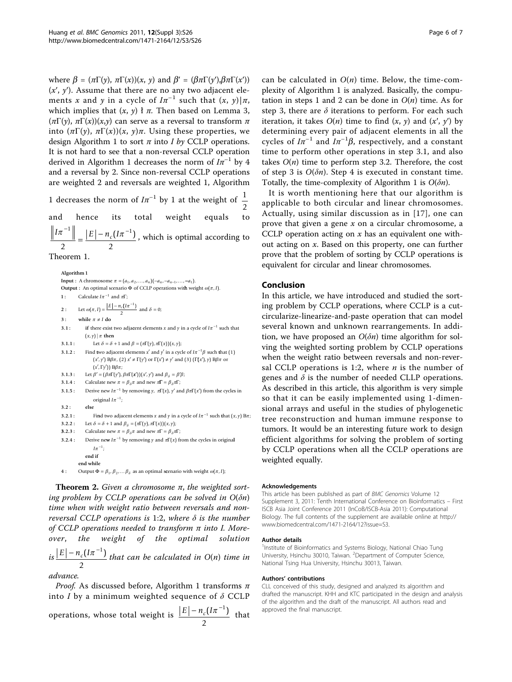where  $\beta = (\pi \Gamma(\gamma), \pi \Gamma(x))(x, y)$  and  $\beta' = (\beta \pi \Gamma(\gamma'), \beta \pi \Gamma(x'))$  $(x', y')$ . Assume that there are no any two adjacent elements x and y in a cycle of  $I\pi^{-1}$  such that  $(x, y)|\pi$ , which implies that  $(x, y)$   $\bar{t}$   $\pi$ . Then based on Lemma 3,  $(\pi\Gamma(y), \pi\Gamma(x))(x,y)$  can serve as a reversal to transform  $\pi$ into  $(πΓ(γ), πΓ(χ))(x, γ)π$ . Using these properties, we design Algorithm 1 to sort  $\pi$  into I by CCLP operations. It is not hard to see that a non-reversal CCLP operation derived in Algorithm 1 decreases the norm of  $I\pi^{-1}$  by 4 and a reversal by 2. Since non-reversal CCLP operations are weighted 2 and reversals are weighted 1, Algorithm

1 decreases the norm of  $I\pi^{-1}$  by 1 at the weight of  $\frac{1}{1}$ 2 and hence its total weight equals to  $\frac{I\pi^{-1}}{2} = \frac{|E| - n_c (I\pi^{-1})}{2}$  $\left(I\pi^{-1}\right)$ , which is optimal according to

Theorem 1. **Algorithm 1 Input :** A chromosome  $\pi = (a_1, a_2, ..., a_n)(-a_n, -a_{n-1}, ..., -a_1)$ . **Output :** An optimal scenario  $\Phi$  of CCLP operations with weight  $\omega(\pi, I)$ . Calculate  $I\pi^{-1}$  and  $\pi\Gamma$ ; Let  $\omega(\pi, I) = \frac{|E| - n_c (I\pi^{-1})}{2}$  and  $\delta = 0$ ; **1 : 2 :** 3 : while  $\pi \neq I$  do 3.1 : if there exist two adjacent elements x and y in a cycle of  $I\pi^{-1}$  such that  $(x, y)$  |  $\pi$  then Let  $\delta = \delta + 1$  and  $\beta = (\pi \Gamma(\gamma), \pi \Gamma(x))(x, y);$ Find two adjacent elements  $x'$  and  $y'$  in a cycle of  $I\pi^{-1}\beta$  such that (1) **3.1.1 : 3.1.2 :**  $(x', y')$  B $\beta \pi$ , (2)  $x' \neq \Gamma(y')$  or  $\Gamma(x') \neq y'$  and (3)  $(\Gamma(x'), y)$  B $\beta \pi$  or (*x'*, Γγ')) Ββπ; 3.1.3 : Let  $\beta' = (\beta \pi \Gamma(\gamma'), \beta \pi \Gamma(x'))(x', y')$  and  $\beta_{\delta} = \beta' \beta$ ; **3.1.4 :** Calculate new  $\pi = \beta_{\delta}\pi$  and new  $\pi \Gamma = \beta_{\delta}\pi \Gamma$ ; **3.1.5** : Derive new  $I\pi^{-1}$  by removing  $\gamma$ ,  $\pi\Gamma(x)$ ,  $\gamma'$  and  $\beta\pi\Gamma(x')$  from the cycles in original  $I\pi^{-1}$ ; **3.2.1 :** Find two adjacent elements x and y in a cycle of  $I\pi^{-1}$  such that  $(x, y)$  B $\pi$ ; **3.2 : else** 3.2.2 : Let  $\delta = \delta + 1$  and  $\beta_{\delta} = (\pi \Gamma(\gamma), \pi \Gamma(x))(x, \gamma);$ **3.2.3 : 3.2.4 :** Calculate new  $\pi = \beta_{\delta}\pi$  and new  $\pi \Gamma = \beta_{\delta}\pi \Gamma$ ; Derive new  $I\pi^{-1}$  by removing  $\gamma$  and  $\pi(x)$  from the cycles in original **4**: Output  $\Phi = \beta_1, \beta_2, \dots, \beta_\delta$  as an optimal scenario with weight  $\omega(\pi, I)$ ;  $I\pi^{-1}$ ; **end if end while**

**Theorem 2.** Given a chromosome  $π$ , the weighted sorting problem by CCLP operations can be solved in  $O(\delta n)$ time when with weight ratio between reversals and nonreversal CCLP operations is 1:2, where  $\delta$  is the number of CCLP operations needed to transform  $\pi$  into I. Moreover, the weight of the optimal solution

 $i s |E| - n_c (I \pi^{-1})$ 2 that can be calculated in O(n) time in

advance.

*Proof.* As discussed before, Algorithm 1 transforms  $\pi$ into I by a minimum weighted sequence of  $\delta$  CCLP operations, whose total weight is  $\frac{\mid E \mid -n_{\textit{c}}(I\pi^{-1})}{\mid}$ 2 that

Page 6 of 7

can be calculated in  $O(n)$  time. Below, the time-complexity of Algorithm 1 is analyzed. Basically, the computation in steps 1 and 2 can be done in  $O(n)$  time. As for step 3, there are  $\delta$  iterations to perform. For each such iteration, it takes  $O(n)$  time to find  $(x, y)$  and  $(x', y')$  by determining every pair of adjacent elements in all the cycles of  $I\pi^{-1}$  and  $I\pi^{-1}\beta$ , respectively, and a constant<br>time to perform other operations in step 3.1, and also time to perform other operations in step 3.1, and also takes  $O(n)$  time to perform step 3.2. Therefore, the cost of step 3 is  $O(\delta n)$ . Step 4 is executed in constant time. Totally, the time-complexity of Algorithm 1 is  $O(\delta n)$ .

It is worth mentioning here that our algorithm is applicable to both circular and linear chromosomes. Actually, using similar discussion as in [[17\]](#page-6-0), one can prove that given a gene  $x$  on a circular chromosome, a CCLP operation acting on  $x$  has an equivalent one without acting on x. Based on this property, one can further prove that the problem of sorting by CCLP operations is equivalent for circular and linear chromosomes.

# Conclusion

In this article, we have introduced and studied the sorting problem by CCLP operations, where CCLP is a cutcircularize-linearize-and-paste operation that can model several known and unknown rearrangements. In addition, we have proposed an  $O(\delta n)$  time algorithm for solving the weighted sorting problem by CCLP operations when the weight ratio between reversals and non-reversal CCLP operations is 1:2, where  $n$  is the number of genes and  $\delta$  is the number of needed CLLP operations. As described in this article, this algorithm is very simple so that it can be easily implemented using 1-dimensional arrays and useful in the studies of phylogenetic tree reconstruction and human immune response to tumors. It would be an interesting future work to design efficient algorithms for solving the problem of sorting by CCLP operations when all the CCLP operations are weighted equally.

#### Acknowledgements

This article has been published as part of BMC Genomics Volume 12 Supplement 3, 2011: Tenth International Conference on Bioinformatics – First ISCB Asia Joint Conference 2011 (InCoB/ISCB-Asia 2011): Computational Biology. The full contents of the supplement are available online at [http://](http://www.biomedcentral.com/1471-2164/12?issue=S3) [www.biomedcentral.com/1471-2164/12?issue=S3](http://www.biomedcentral.com/1471-2164/12?issue=S3).

#### Author details

<sup>1</sup>Institute of Bioinformatics and Systems Biology, National Chiao Tung University, Hsinchu 30010, Taiwan. <sup>2</sup>Department of Computer Science, National Tsing Hua University, Hsinchu 30013, Taiwan.

#### Authors' contributions

CLL conceived of this study, designed and analyzed its algorithm and drafted the manuscript. KHH and KTC participated in the design and analysis of the algorithm and the draft of the manuscript. All authors read and approved the final manuscript.